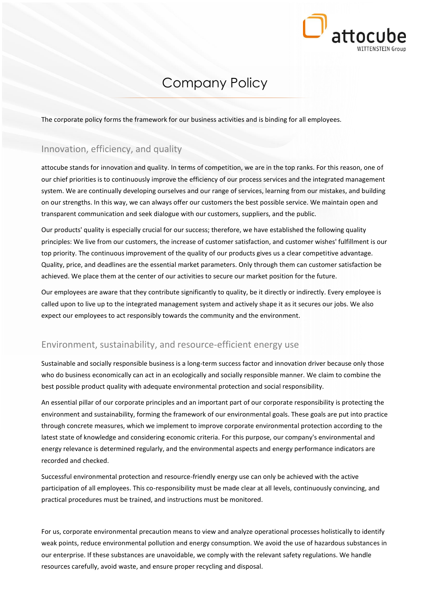

# Company Policy

The corporate policy forms the framework for our business activities and is binding for all employees.

#### Innovation, efficiency, and quality

attocube stands for innovation and quality. In terms of competition, we are in the top ranks. For this reason, one of our chief priorities is to continuously improve the efficiency of our process services and the integrated management system. We are continually developing ourselves and our range of services, learning from our mistakes, and building on our strengths. In this way, we can always offer our customers the best possible service. We maintain open and transparent communication and seek dialogue with our customers, suppliers, and the public.

Our products' quality is especially crucial for our success; therefore, we have established the following quality principles: We live from our customers, the increase of customer satisfaction, and customer wishes' fulfillment is our top priority. The continuous improvement of the quality of our products gives us a clear competitive advantage. Quality, price, and deadlines are the essential market parameters. Only through them can customer satisfaction be achieved. We place them at the center of our activities to secure our market position for the future.

Our employees are aware that they contribute significantly to quality, be it directly or indirectly. Every employee is called upon to live up to the integrated management system and actively shape it as it secures our jobs. We also expect our employees to act responsibly towards the community and the environment.

#### Environment, sustainability, and resource-efficient energy use

Sustainable and socially responsible business is a long-term success factor and innovation driver because only those who do business economically can act in an ecologically and socially responsible manner. We claim to combine the best possible product quality with adequate environmental protection and social responsibility.

An essential pillar of our corporate principles and an important part of our corporate responsibility is protecting the environment and sustainability, forming the framework of our environmental goals. These goals are put into practice through concrete measures, which we implement to improve corporate environmental protection according to the latest state of knowledge and considering economic criteria. For this purpose, our company's environmental and energy relevance is determined regularly, and the environmental aspects and energy performance indicators are recorded and checked.

Successful environmental protection and resource-friendly energy use can only be achieved with the active participation of all employees. This co-responsibility must be made clear at all levels, continuously convincing, and practical procedures must be trained, and instructions must be monitored.

For us, corporate environmental precaution means to view and analyze operational processes holistically to identify weak points, reduce environmental pollution and energy consumption. We avoid the use of hazardous substances in our enterprise. If these substances are unavoidable, we comply with the relevant safety regulations. We handle resources carefully, avoid waste, and ensure proper recycling and disposal.